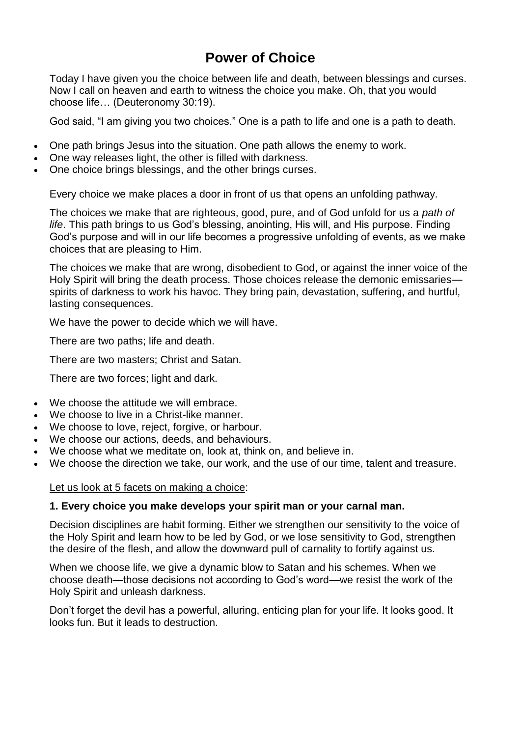# **Power of Choice**

Today I have given you the choice between life and death, between blessings and curses. Now I call on heaven and earth to witness the choice you make. Oh, that you would choose life… (Deuteronomy 30:19).

God said, "I am giving you two choices." One is a path to life and one is a path to death.

- One path brings Jesus into the situation. One path allows the enemy to work.
- One way releases light, the other is filled with darkness.
- One choice brings blessings, and the other brings curses.

Every choice we make places a door in front of us that opens an unfolding pathway.

The choices we make that are righteous, good, pure, and of God unfold for us a *path of life*. This path brings to us God's blessing, anointing, His will, and His purpose. Finding God's purpose and will in our life becomes a progressive unfolding of events, as we make choices that are pleasing to Him.

The choices we make that are wrong, disobedient to God, or against the inner voice of the Holy Spirit will bring the death process. Those choices release the demonic emissaries spirits of darkness to work his havoc. They bring pain, devastation, suffering, and hurtful, lasting consequences.

We have the power to decide which we will have.

There are two paths; life and death.

There are two masters; Christ and Satan.

There are two forces; light and dark.

- We choose the attitude we will embrace.
- We choose to live in a Christ-like manner.
- We choose to love, reject, forgive, or harbour.
- We choose our actions, deeds, and behaviours.
- We choose what we meditate on, look at, think on, and believe in.
- We choose the direction we take, our work, and the use of our time, talent and treasure.

Let us look at 5 facets on making a choice:

#### **1. Every choice you make develops your spirit man or your carnal man.**

Decision disciplines are habit forming. Either we strengthen our sensitivity to the voice of the Holy Spirit and learn how to be led by God, or we lose sensitivity to God, strengthen the desire of the flesh, and allow the downward pull of carnality to fortify against us.

When we choose life, we give a dynamic blow to Satan and his schemes. When we choose death—those decisions not according to God's word—we resist the work of the Holy Spirit and unleash darkness.

Don't forget the devil has a powerful, alluring, enticing plan for your life. It looks good. It looks fun. But it leads to destruction.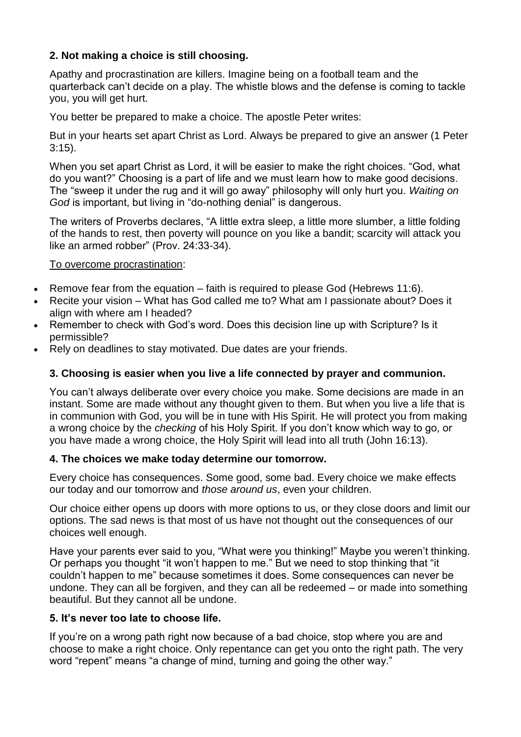# **2. Not making a choice is still choosing.**

Apathy and procrastination are killers. Imagine being on a football team and the quarterback can't decide on a play. The whistle blows and the defense is coming to tackle you, you will get hurt.

You better be prepared to make a choice. The apostle Peter writes:

But in your hearts set apart Christ as Lord. Always be prepared to give an answer (1 Peter 3:15).

When you set apart Christ as Lord, it will be easier to make the right choices. "God, what do you want?" Choosing is a part of life and we must learn how to make good decisions. The "sweep it under the rug and it will go away" philosophy will only hurt you. *Waiting on God* is important, but living in "do-nothing denial" is dangerous.

The writers of Proverbs declares, "A little extra sleep, a little more slumber, a little folding of the hands to rest, then poverty will pounce on you like a bandit; scarcity will attack you like an armed robber" (Prov. 24:33-34).

### To overcome procrastination:

- Remove fear from the equation faith is required to please God (Hebrews 11:6).
- Recite your vision What has God called me to? What am I passionate about? Does it align with where am I headed?
- Remember to check with God's word. Does this decision line up with Scripture? Is it permissible?
- Rely on deadlines to stay motivated. Due dates are your friends.

# **3. Choosing is easier when you live a life connected by prayer and communion.**

You can't always deliberate over every choice you make. Some decisions are made in an instant. Some are made without any thought given to them. But when you live a life that is in communion with God, you will be in tune with His Spirit. He will protect you from making a wrong choice by the *checking* of his Holy Spirit. If you don't know which way to go, or you have made a wrong choice, the Holy Spirit will lead into all truth (John 16:13).

#### **4. The choices we make today determine our tomorrow.**

Every choice has consequences. Some good, some bad. Every choice we make effects our today and our tomorrow and *those around us*, even your children.

Our choice either opens up doors with more options to us, or they close doors and limit our options. The sad news is that most of us have not thought out the consequences of our choices well enough.

Have your parents ever said to you, "What were you thinking!" Maybe you weren't thinking. Or perhaps you thought "it won't happen to me." But we need to stop thinking that "it couldn't happen to me" because sometimes it does. Some consequences can never be undone. They can all be forgiven, and they can all be redeemed – or made into something beautiful. But they cannot all be undone.

#### **5. It's never too late to choose life.**

If you're on a wrong path right now because of a bad choice, stop where you are and choose to make a right choice. Only repentance can get you onto the right path. The very word "repent" means "a change of mind, turning and going the other way."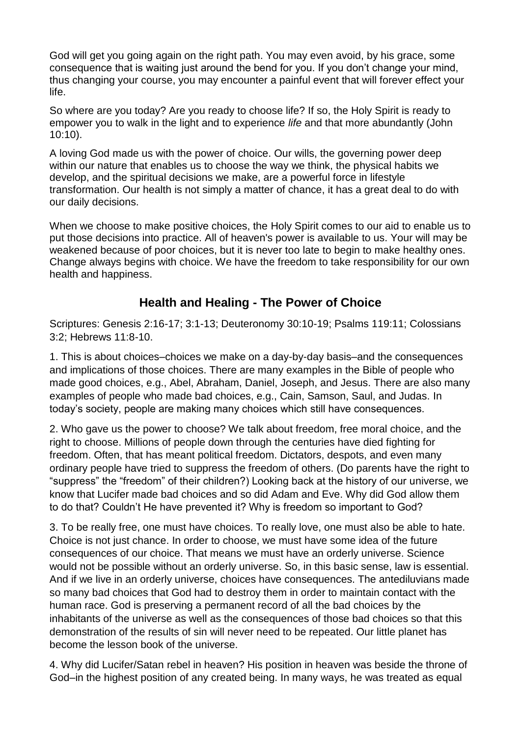God will get you going again on the right path. You may even avoid, by his grace, some consequence that is waiting just around the bend for you. If you don't change your mind, thus changing your course, you may encounter a painful event that will forever effect your life.

So where are you today? Are you ready to choose life? If so, the Holy Spirit is ready to empower you to walk in the light and to experience *life* and that more abundantly (John 10:10).

A loving God made us with the power of choice. Our wills, the governing power deep within our nature that enables us to choose the way we think, the physical habits we develop, and the spiritual decisions we make, are a powerful force in lifestyle transformation. Our health is not simply a matter of chance, it has a great deal to do with our daily decisions.

When we choose to make positive choices, the Holy Spirit comes to our aid to enable us to put those decisions into practice. All of heaven's power is available to us. Your will may be weakened because of poor choices, but it is never too late to begin to make healthy ones. Change always begins with choice. We have the freedom to take responsibility for our own health and happiness.

# **Health and Healing - The Power of Choice**

Scriptures: Genesis 2:16-17; 3:1-13; Deuteronomy 30:10-19; Psalms 119:11; Colossians 3:2; Hebrews 11:8-10.

1. This is about choices–choices we make on a day-by-day basis–and the consequences and implications of those choices. There are many examples in the Bible of people who made good choices, e.g., Abel, Abraham, Daniel, Joseph, and Jesus. There are also many examples of people who made bad choices, e.g., Cain, Samson, Saul, and Judas. In today's society, people are making many choices which still have consequences.

2. Who gave us the power to choose? We talk about freedom, free moral choice, and the right to choose. Millions of people down through the centuries have died fighting for freedom. Often, that has meant political freedom. Dictators, despots, and even many ordinary people have tried to suppress the freedom of others. (Do parents have the right to "suppress" the "freedom" of their children?) Looking back at the history of our universe, we know that Lucifer made bad choices and so did Adam and Eve. Why did God allow them to do that? Couldn't He have prevented it? Why is freedom so important to God?

3. To be really free, one must have choices. To really love, one must also be able to hate. Choice is not just chance. In order to choose, we must have some idea of the future consequences of our choice. That means we must have an orderly universe. Science would not be possible without an orderly universe. So, in this basic sense, law is essential. And if we live in an orderly universe, choices have consequences. The antediluvians made so many bad choices that God had to destroy them in order to maintain contact with the human race. God is preserving a permanent record of all the bad choices by the inhabitants of the universe as well as the consequences of those bad choices so that this demonstration of the results of sin will never need to be repeated. Our little planet has become the lesson book of the universe.

4. Why did Lucifer/Satan rebel in heaven? His position in heaven was beside the throne of God–in the highest position of any created being. In many ways, he was treated as equal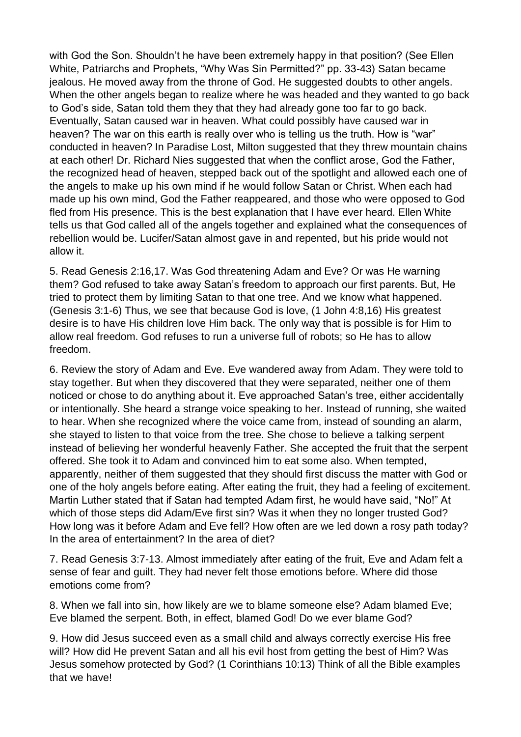with God the Son. Shouldn't he have been extremely happy in that position? (See Ellen White, Patriarchs and Prophets, "Why Was Sin Permitted?" pp. 33-43) Satan became jealous. He moved away from the throne of God. He suggested doubts to other angels. When the other angels began to realize where he was headed and they wanted to go back to God's side, Satan told them they that they had already gone too far to go back. Eventually, Satan caused war in heaven. What could possibly have caused war in heaven? The war on this earth is really over who is telling us the truth. How is "war" conducted in heaven? In Paradise Lost, Milton suggested that they threw mountain chains at each other! Dr. Richard Nies suggested that when the conflict arose, God the Father, the recognized head of heaven, stepped back out of the spotlight and allowed each one of the angels to make up his own mind if he would follow Satan or Christ. When each had made up his own mind, God the Father reappeared, and those who were opposed to God fled from His presence. This is the best explanation that I have ever heard. Ellen White tells us that God called all of the angels together and explained what the consequences of rebellion would be. Lucifer/Satan almost gave in and repented, but his pride would not allow it.

5. Read Genesis 2:16,17. Was God threatening Adam and Eve? Or was He warning them? God refused to take away Satan's freedom to approach our first parents. But, He tried to protect them by limiting Satan to that one tree. And we know what happened. (Genesis 3:1-6) Thus, we see that because God is love, (1 John 4:8,16) His greatest desire is to have His children love Him back. The only way that is possible is for Him to allow real freedom. God refuses to run a universe full of robots; so He has to allow freedom.

6. Review the story of Adam and Eve. Eve wandered away from Adam. They were told to stay together. But when they discovered that they were separated, neither one of them noticed or chose to do anything about it. Eve approached Satan's tree, either accidentally or intentionally. She heard a strange voice speaking to her. Instead of running, she waited to hear. When she recognized where the voice came from, instead of sounding an alarm, she stayed to listen to that voice from the tree. She chose to believe a talking serpent instead of believing her wonderful heavenly Father. She accepted the fruit that the serpent offered. She took it to Adam and convinced him to eat some also. When tempted, apparently, neither of them suggested that they should first discuss the matter with God or one of the holy angels before eating. After eating the fruit, they had a feeling of excitement. Martin Luther stated that if Satan had tempted Adam first, he would have said, "No!" At which of those steps did Adam/Eve first sin? Was it when they no longer trusted God? How long was it before Adam and Eve fell? How often are we led down a rosy path today? In the area of entertainment? In the area of diet?

7. Read Genesis 3:7-13. Almost immediately after eating of the fruit, Eve and Adam felt a sense of fear and guilt. They had never felt those emotions before. Where did those emotions come from?

8. When we fall into sin, how likely are we to blame someone else? Adam blamed Eve; Eve blamed the serpent. Both, in effect, blamed God! Do we ever blame God?

9. How did Jesus succeed even as a small child and always correctly exercise His free will? How did He prevent Satan and all his evil host from getting the best of Him? Was Jesus somehow protected by God? (1 Corinthians 10:13) Think of all the Bible examples that we have!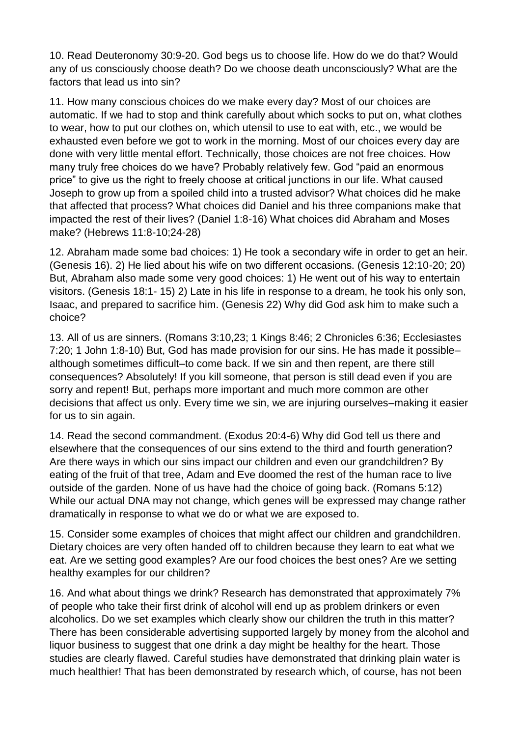10. Read Deuteronomy 30:9-20. God begs us to choose life. How do we do that? Would any of us consciously choose death? Do we choose death unconsciously? What are the factors that lead us into sin?

11. How many conscious choices do we make every day? Most of our choices are automatic. If we had to stop and think carefully about which socks to put on, what clothes to wear, how to put our clothes on, which utensil to use to eat with, etc., we would be exhausted even before we got to work in the morning. Most of our choices every day are done with very little mental effort. Technically, those choices are not free choices. How many truly free choices do we have? Probably relatively few. God "paid an enormous price" to give us the right to freely choose at critical junctions in our life. What caused Joseph to grow up from a spoiled child into a trusted advisor? What choices did he make that affected that process? What choices did Daniel and his three companions make that impacted the rest of their lives? (Daniel 1:8-16) What choices did Abraham and Moses make? (Hebrews 11:8-10;24-28)

12. Abraham made some bad choices: 1) He took a secondary wife in order to get an heir. (Genesis 16). 2) He lied about his wife on two different occasions. (Genesis 12:10-20; 20) But, Abraham also made some very good choices: 1) He went out of his way to entertain visitors. (Genesis 18:1- 15) 2) Late in his life in response to a dream, he took his only son, Isaac, and prepared to sacrifice him. (Genesis 22) Why did God ask him to make such a choice?

13. All of us are sinners. (Romans 3:10,23; 1 Kings 8:46; 2 Chronicles 6:36; Ecclesiastes 7:20; 1 John 1:8-10) But, God has made provision for our sins. He has made it possible– although sometimes difficult–to come back. If we sin and then repent, are there still consequences? Absolutely! If you kill someone, that person is still dead even if you are sorry and repent! But, perhaps more important and much more common are other decisions that affect us only. Every time we sin, we are injuring ourselves–making it easier for us to sin again.

14. Read the second commandment. (Exodus 20:4-6) Why did God tell us there and elsewhere that the consequences of our sins extend to the third and fourth generation? Are there ways in which our sins impact our children and even our grandchildren? By eating of the fruit of that tree, Adam and Eve doomed the rest of the human race to live outside of the garden. None of us have had the choice of going back. (Romans 5:12) While our actual DNA may not change, which genes will be expressed may change rather dramatically in response to what we do or what we are exposed to.

15. Consider some examples of choices that might affect our children and grandchildren. Dietary choices are very often handed off to children because they learn to eat what we eat. Are we setting good examples? Are our food choices the best ones? Are we setting healthy examples for our children?

16. And what about things we drink? Research has demonstrated that approximately 7% of people who take their first drink of alcohol will end up as problem drinkers or even alcoholics. Do we set examples which clearly show our children the truth in this matter? There has been considerable advertising supported largely by money from the alcohol and liquor business to suggest that one drink a day might be healthy for the heart. Those studies are clearly flawed. Careful studies have demonstrated that drinking plain water is much healthier! That has been demonstrated by research which, of course, has not been